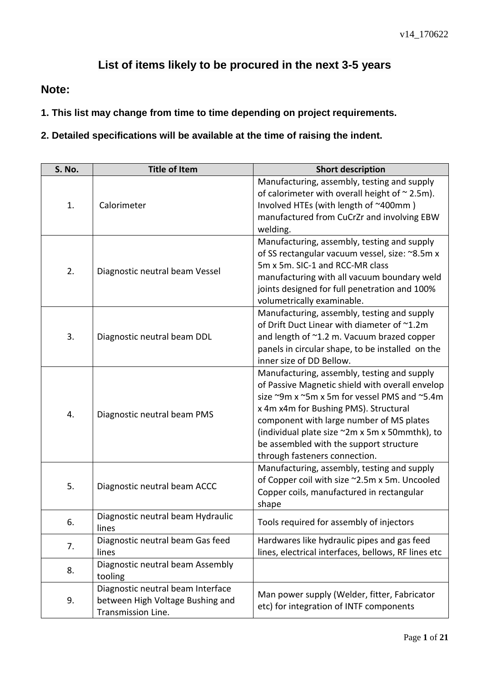## **List of items likely to be procured in the next 3-5 years**

## **Note:**

**1. This list may change from time to time depending on project requirements.** 

**2. Detailed specifications will be available at the time of raising the indent.** 

| S. No. | <b>Title of Item</b>                                                                        | <b>Short description</b>                                                                                                                                                                                                                                                                                                                                          |
|--------|---------------------------------------------------------------------------------------------|-------------------------------------------------------------------------------------------------------------------------------------------------------------------------------------------------------------------------------------------------------------------------------------------------------------------------------------------------------------------|
| 1.     | Calorimeter                                                                                 | Manufacturing, assembly, testing and supply<br>of calorimeter with overall height of $\sim$ 2.5m).<br>Involved HTEs (with length of ~400mm)<br>manufactured from CuCrZr and involving EBW<br>welding.                                                                                                                                                             |
| 2.     | Diagnostic neutral beam Vessel                                                              | Manufacturing, assembly, testing and supply<br>of SS rectangular vacuum vessel, size: ~8.5m x<br>5m x 5m. SIC-1 and RCC-MR class<br>manufacturing with all vacuum boundary weld<br>joints designed for full penetration and 100%<br>volumetrically examinable.                                                                                                    |
| 3.     | Diagnostic neutral beam DDL                                                                 | Manufacturing, assembly, testing and supply<br>of Drift Duct Linear with diameter of ~1.2m<br>and length of ~1.2 m. Vacuum brazed copper<br>panels in circular shape, to be installed on the<br>inner size of DD Bellow.                                                                                                                                          |
| 4.     | Diagnostic neutral beam PMS                                                                 | Manufacturing, assembly, testing and supply<br>of Passive Magnetic shield with overall envelop<br>size ~9m x ~5m x 5m for vessel PMS and ~5.4m<br>x 4m x4m for Bushing PMS). Structural<br>component with large number of MS plates<br>(individual plate size ~2m x 5m x 50mmthk), to<br>be assembled with the support structure<br>through fasteners connection. |
| 5.     | Diagnostic neutral beam ACCC                                                                | Manufacturing, assembly, testing and supply<br>of Copper coil with size ~2.5m x 5m. Uncooled<br>Copper coils, manufactured in rectangular<br>shape                                                                                                                                                                                                                |
| 6.     | Diagnostic neutral beam Hydraulic<br>lines                                                  | Tools required for assembly of injectors                                                                                                                                                                                                                                                                                                                          |
| 7.     | Diagnostic neutral beam Gas feed<br>lines                                                   | Hardwares like hydraulic pipes and gas feed<br>lines, electrical interfaces, bellows, RF lines etc                                                                                                                                                                                                                                                                |
| 8.     | Diagnostic neutral beam Assembly<br>tooling                                                 |                                                                                                                                                                                                                                                                                                                                                                   |
| 9.     | Diagnostic neutral beam Interface<br>between High Voltage Bushing and<br>Transmission Line. | Man power supply (Welder, fitter, Fabricator<br>etc) for integration of INTF components                                                                                                                                                                                                                                                                           |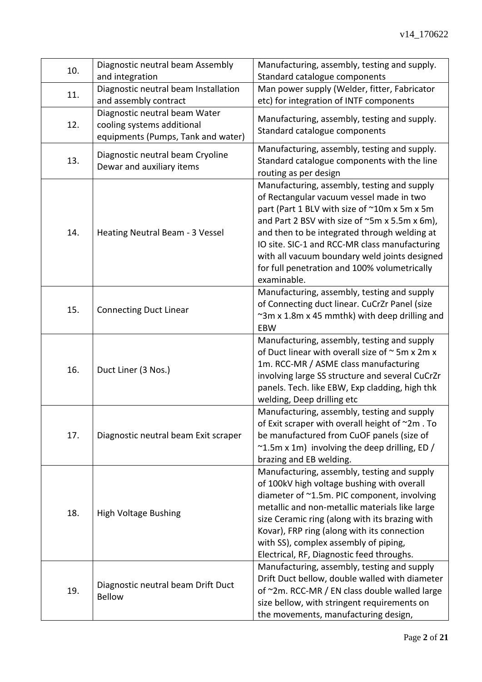| 10. | Diagnostic neutral beam Assembly<br>and integration                                               | Manufacturing, assembly, testing and supply.<br>Standard catalogue components                                                                                                                                                                                                                                                                                                                             |
|-----|---------------------------------------------------------------------------------------------------|-----------------------------------------------------------------------------------------------------------------------------------------------------------------------------------------------------------------------------------------------------------------------------------------------------------------------------------------------------------------------------------------------------------|
| 11. | Diagnostic neutral beam Installation<br>and assembly contract                                     | Man power supply (Welder, fitter, Fabricator<br>etc) for integration of INTF components                                                                                                                                                                                                                                                                                                                   |
| 12. | Diagnostic neutral beam Water<br>cooling systems additional<br>equipments (Pumps, Tank and water) | Manufacturing, assembly, testing and supply.<br>Standard catalogue components                                                                                                                                                                                                                                                                                                                             |
| 13. | Diagnostic neutral beam Cryoline<br>Dewar and auxiliary items                                     | Manufacturing, assembly, testing and supply.<br>Standard catalogue components with the line<br>routing as per design                                                                                                                                                                                                                                                                                      |
| 14. | Heating Neutral Beam - 3 Vessel                                                                   | Manufacturing, assembly, testing and supply<br>of Rectangular vacuum vessel made in two<br>part (Part 1 BLV with size of ~10m x 5m x 5m<br>and Part 2 BSV with size of ~5m x 5.5m x 6m),<br>and then to be integrated through welding at<br>IO site. SIC-1 and RCC-MR class manufacturing<br>with all vacuum boundary weld joints designed<br>for full penetration and 100% volumetrically<br>examinable. |
| 15. | <b>Connecting Duct Linear</b>                                                                     | Manufacturing, assembly, testing and supply<br>of Connecting duct linear. CuCrZr Panel (size<br>~3m x 1.8m x 45 mmthk) with deep drilling and<br>EBW                                                                                                                                                                                                                                                      |
| 16. | Duct Liner (3 Nos.)                                                                               | Manufacturing, assembly, testing and supply<br>of Duct linear with overall size of $\sim$ 5m x 2m x<br>1m. RCC-MR / ASME class manufacturing<br>involving large SS structure and several CuCrZr<br>panels. Tech. like EBW, Exp cladding, high thk<br>welding, Deep drilling etc                                                                                                                           |
| 17. | Diagnostic neutral beam Exit scraper                                                              | Manufacturing, assembly, testing and supply<br>of Exit scraper with overall height of ~2m. To<br>be manufactured from CuOF panels (size of<br>$\sim$ 1.5m x 1m) involving the deep drilling, ED /<br>brazing and EB welding.                                                                                                                                                                              |
| 18. | <b>High Voltage Bushing</b>                                                                       | Manufacturing, assembly, testing and supply<br>of 100kV high voltage bushing with overall<br>diameter of ~1.5m. PIC component, involving<br>metallic and non-metallic materials like large<br>size Ceramic ring (along with its brazing with<br>Kovar), FRP ring (along with its connection<br>with SS), complex assembly of piping,<br>Electrical, RF, Diagnostic feed throughs.                         |
| 19. | Diagnostic neutral beam Drift Duct<br><b>Bellow</b>                                               | Manufacturing, assembly, testing and supply<br>Drift Duct bellow, double walled with diameter<br>of ~2m. RCC-MR / EN class double walled large<br>size bellow, with stringent requirements on<br>the movements, manufacturing design,                                                                                                                                                                     |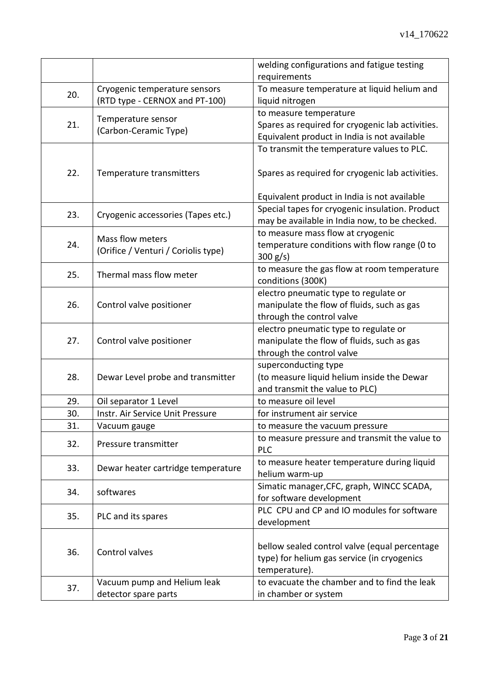|     |                                     | welding configurations and fatigue testing       |
|-----|-------------------------------------|--------------------------------------------------|
|     |                                     | requirements                                     |
| 20. | Cryogenic temperature sensors       | To measure temperature at liquid helium and      |
|     | (RTD type - CERNOX and PT-100)      | liquid nitrogen                                  |
|     | Temperature sensor                  | to measure temperature                           |
| 21. | (Carbon-Ceramic Type)               | Spares as required for cryogenic lab activities. |
|     |                                     | Equivalent product in India is not available     |
|     |                                     | To transmit the temperature values to PLC.       |
|     |                                     |                                                  |
| 22. | Temperature transmitters            | Spares as required for cryogenic lab activities. |
|     |                                     |                                                  |
|     |                                     | Equivalent product in India is not available     |
|     |                                     | Special tapes for cryogenic insulation. Product  |
| 23. | Cryogenic accessories (Tapes etc.)  | may be available in India now, to be checked.    |
|     |                                     | to measure mass flow at cryogenic                |
| 24. | Mass flow meters                    | temperature conditions with flow range (0 to     |
|     | (Orifice / Venturi / Coriolis type) | $300 g/s$ )                                      |
|     |                                     | to measure the gas flow at room temperature      |
| 25. | Thermal mass flow meter             | conditions (300K)                                |
|     |                                     | electro pneumatic type to regulate or            |
| 26. | Control valve positioner            | manipulate the flow of fluids, such as gas       |
|     |                                     | through the control valve                        |
|     |                                     | electro pneumatic type to regulate or            |
| 27. | Control valve positioner            | manipulate the flow of fluids, such as gas       |
|     |                                     | through the control valve                        |
|     |                                     | superconducting type                             |
| 28. | Dewar Level probe and transmitter   | (to measure liquid helium inside the Dewar       |
|     |                                     | and transmit the value to PLC)                   |
| 29. | Oil separator 1 Level               | to measure oil level                             |
| 30. | Instr. Air Service Unit Pressure    | for instrument air service                       |
| 31. | Vacuum gauge                        | to measure the vacuum pressure                   |
|     |                                     | to measure pressure and transmit the value to    |
| 32. | Pressure transmitter                | <b>PLC</b>                                       |
|     |                                     | to measure heater temperature during liquid      |
| 33. | Dewar heater cartridge temperature  | helium warm-up                                   |
|     |                                     | Simatic manager, CFC, graph, WINCC SCADA,        |
| 34. | softwares                           | for software development                         |
|     |                                     | PLC CPU and CP and IO modules for software       |
| 35. | PLC and its spares                  | development                                      |
|     |                                     |                                                  |
|     |                                     | bellow sealed control valve (equal percentage    |
| 36. | Control valves                      | type) for helium gas service (in cryogenics      |
|     |                                     | temperature).                                    |
|     | Vacuum pump and Helium leak         | to evacuate the chamber and to find the leak     |
| 37. | detector spare parts                | in chamber or system                             |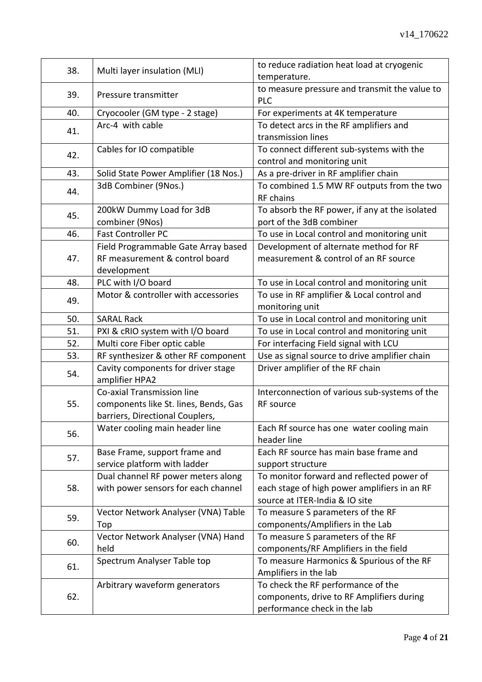| 38. | Multi layer insulation (MLI)                         | to reduce radiation heat load at cryogenic<br>temperature.  |
|-----|------------------------------------------------------|-------------------------------------------------------------|
| 39. | Pressure transmitter                                 | to measure pressure and transmit the value to<br><b>PLC</b> |
| 40. | Cryocooler (GM type - 2 stage)                       | For experiments at 4K temperature                           |
|     | Arc-4 with cable                                     | To detect arcs in the RF amplifiers and                     |
| 41. |                                                      | transmission lines                                          |
|     | Cables for IO compatible                             | To connect different sub-systems with the                   |
| 42. |                                                      | control and monitoring unit                                 |
| 43. | Solid State Power Amplifier (18 Nos.)                | As a pre-driver in RF amplifier chain                       |
|     | 3dB Combiner (9Nos.)                                 | To combined 1.5 MW RF outputs from the two                  |
| 44. |                                                      | RF chains                                                   |
| 45. | 200kW Dummy Load for 3dB                             | To absorb the RF power, if any at the isolated              |
|     | combiner (9Nos)                                      | port of the 3dB combiner                                    |
| 46. | <b>Fast Controller PC</b>                            | To use in Local control and monitoring unit                 |
|     | Field Programmable Gate Array based                  | Development of alternate method for RF                      |
| 47. | RF measurement & control board                       | measurement & control of an RF source                       |
|     | development                                          |                                                             |
| 48. | PLC with I/O board                                   | To use in Local control and monitoring unit                 |
| 49. | Motor & controller with accessories                  | To use in RF amplifier & Local control and                  |
|     |                                                      | monitoring unit                                             |
| 50. | <b>SARAL Rack</b>                                    | To use in Local control and monitoring unit                 |
| 51. | PXI & cRIO system with I/O board                     | To use in Local control and monitoring unit                 |
| 52. | Multi core Fiber optic cable                         | For interfacing Field signal with LCU                       |
| 53. | RF synthesizer & other RF component                  | Use as signal source to drive amplifier chain               |
| 54. | Cavity components for driver stage<br>amplifier HPA2 | Driver amplifier of the RF chain                            |
|     | Co-axial Transmission line                           | Interconnection of various sub-systems of the               |
| 55. | components like St. lines, Bends, Gas                | <b>RF</b> source                                            |
|     | barriers, Directional Couplers,                      |                                                             |
|     | Water cooling main header line                       | Each Rf source has one water cooling main                   |
| 56. |                                                      | header line                                                 |
|     | Base Frame, support frame and                        | Each RF source has main base frame and                      |
| 57. | service platform with ladder                         | support structure                                           |
|     | Dual channel RF power meters along                   | To monitor forward and reflected power of                   |
| 58. | with power sensors for each channel                  | each stage of high power amplifiers in an RF                |
|     |                                                      | source at ITER-India & IO site                              |
| 59. | Vector Network Analyser (VNA) Table                  | To measure S parameters of the RF                           |
|     | Top                                                  | components/Amplifiers in the Lab                            |
| 60. | Vector Network Analyser (VNA) Hand                   | To measure S parameters of the RF                           |
|     | held                                                 | components/RF Amplifiers in the field                       |
| 61. | Spectrum Analyser Table top                          | To measure Harmonics & Spurious of the RF                   |
|     |                                                      | Amplifiers in the lab                                       |
|     | Arbitrary waveform generators                        | To check the RF performance of the                          |
| 62. |                                                      | components, drive to RF Amplifiers during                   |
|     |                                                      | performance check in the lab                                |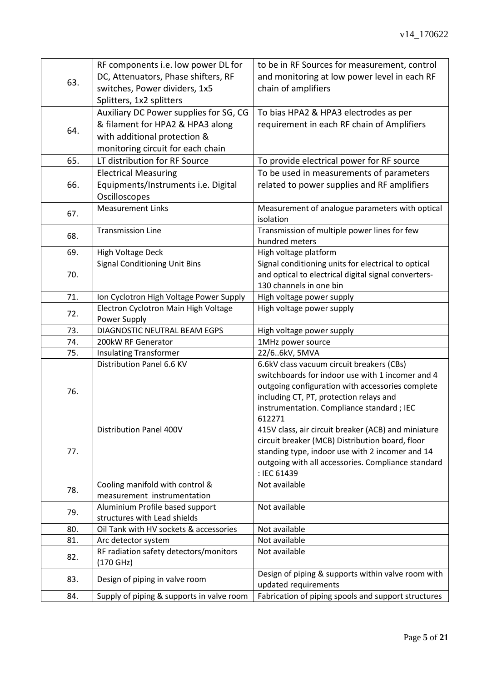| 63. | RF components i.e. low power DL for       | to be in RF Sources for measurement, control                                                  |
|-----|-------------------------------------------|-----------------------------------------------------------------------------------------------|
|     | DC, Attenuators, Phase shifters, RF       | and monitoring at low power level in each RF                                                  |
|     | switches, Power dividers, 1x5             | chain of amplifiers                                                                           |
|     | Splitters, 1x2 splitters                  |                                                                                               |
|     | Auxiliary DC Power supplies for SG, CG    | To bias HPA2 & HPA3 electrodes as per                                                         |
|     | & filament for HPA2 & HPA3 along          | requirement in each RF chain of Amplifiers                                                    |
| 64. | with additional protection &              |                                                                                               |
|     | monitoring circuit for each chain         |                                                                                               |
| 65. | LT distribution for RF Source             | To provide electrical power for RF source                                                     |
|     | <b>Electrical Measuring</b>               | To be used in measurements of parameters                                                      |
| 66. | Equipments/Instruments i.e. Digital       | related to power supplies and RF amplifiers                                                   |
|     | Oscilloscopes                             |                                                                                               |
|     | <b>Measurement Links</b>                  | Measurement of analogue parameters with optical                                               |
| 67. |                                           | isolation                                                                                     |
| 68. | <b>Transmission Line</b>                  | Transmission of multiple power lines for few                                                  |
|     |                                           | hundred meters                                                                                |
| 69. | High Voltage Deck                         | High voltage platform                                                                         |
|     | <b>Signal Conditioning Unit Bins</b>      | Signal conditioning units for electrical to optical                                           |
| 70. |                                           | and optical to electrical digital signal converters-                                          |
|     |                                           | 130 channels in one bin                                                                       |
| 71. | Ion Cyclotron High Voltage Power Supply   | High voltage power supply                                                                     |
| 72. | Electron Cyclotron Main High Voltage      | High voltage power supply                                                                     |
|     | Power Supply                              |                                                                                               |
| 73. | DIAGNOSTIC NEUTRAL BEAM EGPS              | High voltage power supply                                                                     |
| 74. | 200kW RF Generator                        | 1MHz power source                                                                             |
| 75. | <b>Insulating Transformer</b>             | 22/66kV, 5MVA                                                                                 |
|     | Distribution Panel 6.6 KV                 | 6.6kV class vacuum circuit breakers (CBs)<br>switchboards for indoor use with 1 incomer and 4 |
|     |                                           |                                                                                               |
| 76. |                                           | outgoing configuration with accessories complete<br>including CT, PT, protection relays and   |
|     |                                           | instrumentation. Compliance standard ; IEC                                                    |
|     |                                           | 612271                                                                                        |
|     | <b>Distribution Panel 400V</b>            | 415V class, air circuit breaker (ACB) and miniature                                           |
|     |                                           | circuit breaker (MCB) Distribution board, floor                                               |
| 77. |                                           | standing type, indoor use with 2 incomer and 14                                               |
|     |                                           | outgoing with all accessories. Compliance standard                                            |
|     |                                           | : IEC 61439                                                                                   |
|     | Cooling manifold with control &           | Not available                                                                                 |
| 78. | measurement instrumentation               |                                                                                               |
|     | Aluminium Profile based support           | Not available                                                                                 |
| 79. | structures with Lead shields              |                                                                                               |
| 80. | Oil Tank with HV sockets & accessories    | Not available                                                                                 |
| 81. | Arc detector system                       | Not available                                                                                 |
| 82. | RF radiation safety detectors/monitors    | Not available                                                                                 |
|     | $(170 \text{ GHz})$                       |                                                                                               |
| 83. | Design of piping in valve room            | Design of piping & supports within valve room with                                            |
|     |                                           | updated requirements                                                                          |
| 84. | Supply of piping & supports in valve room | Fabrication of piping spools and support structures                                           |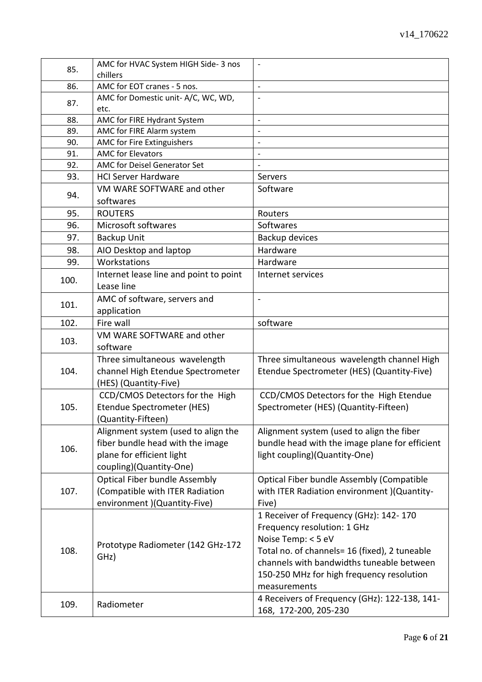| AMC for EOT cranes - 5 nos.<br>86.<br>$\overline{\phantom{a}}$<br>AMC for Domestic unit- A/C, WC, WD,<br>87.<br>etc.<br>AMC for FIRE Hydrant System<br>88.<br>$\blacksquare$<br>AMC for FIRE Alarm system<br>89.<br>AMC for Fire Extinguishers<br>90.<br><b>AMC for Elevators</b><br>91.<br>$\overline{\phantom{a}}$<br>AMC for Deisel Generator Set<br>92.<br>93.<br><b>HCI Server Hardware</b><br>Servers<br>VM WARE SOFTWARE and other<br>Software<br>94.<br>softwares<br><b>ROUTERS</b><br>95.<br>Routers<br>Microsoft softwares<br>96.<br>Softwares<br><b>Backup Unit</b><br>97.<br>Backup devices<br>AIO Desktop and laptop<br>Hardware<br>98.<br>Workstations<br>99.<br>Hardware<br>Internet lease line and point to point<br>Internet services<br>100.<br>Lease line<br>AMC of software, servers and<br>$\blacksquare$<br>101.<br>application<br>Fire wall<br>software<br>102.<br>VM WARE SOFTWARE and other<br>103.<br>software<br>Three simultaneous wavelength<br>Three simultaneous wavelength channel High<br>channel High Etendue Spectrometer<br>Etendue Spectrometer (HES) (Quantity-Five)<br>104.<br>(HES) (Quantity-Five)<br>CCD/CMOS Detectors for the High<br>CCD/CMOS Detectors for the High Etendue<br>105.<br>Etendue Spectrometer (HES)<br>Spectrometer (HES) (Quantity-Fifteen)<br>(Quantity-Fifteen)<br>Alignment system (used to align the fiber<br>Alignment system (used to align the<br>fiber bundle head with the image<br>bundle head with the image plane for efficient<br>106.<br>plane for efficient light<br>light coupling)(Quantity-One)<br>coupling)(Quantity-One)<br><b>Optical Fiber bundle Assembly</b><br>Optical Fiber bundle Assembly (Compatible<br>(Compatible with ITER Radiation<br>107.<br>with ITER Radiation environment )(Quantity-<br>environment )(Quantity-Five)<br>Five)<br>1 Receiver of Frequency (GHz): 142-170<br>Frequency resolution: 1 GHz<br>Noise Temp: < 5 eV<br>Prototype Radiometer (142 GHz-172<br>108.<br>Total no. of channels= 16 (fixed), 2 tuneable<br>GHz)<br>channels with bandwidths tuneable between<br>150-250 MHz for high frequency resolution<br>measurements<br>4 Receivers of Frequency (GHz): 122-138, 141-<br>109.<br>Radiometer<br>168, 172-200, 205-230 | 85. | AMC for HVAC System HIGH Side-3 nos |  |
|--------------------------------------------------------------------------------------------------------------------------------------------------------------------------------------------------------------------------------------------------------------------------------------------------------------------------------------------------------------------------------------------------------------------------------------------------------------------------------------------------------------------------------------------------------------------------------------------------------------------------------------------------------------------------------------------------------------------------------------------------------------------------------------------------------------------------------------------------------------------------------------------------------------------------------------------------------------------------------------------------------------------------------------------------------------------------------------------------------------------------------------------------------------------------------------------------------------------------------------------------------------------------------------------------------------------------------------------------------------------------------------------------------------------------------------------------------------------------------------------------------------------------------------------------------------------------------------------------------------------------------------------------------------------------------------------------------------------------------------------------------------------------------------------------------------------------------------------------------------------------------------------------------------------------------------------------------------------------------------------------------------------------------------------------------------------------------------------------------------------------------------------------------------------------------------------------------------------------------------------------|-----|-------------------------------------|--|
|                                                                                                                                                                                                                                                                                                                                                                                                                                                                                                                                                                                                                                                                                                                                                                                                                                                                                                                                                                                                                                                                                                                                                                                                                                                                                                                                                                                                                                                                                                                                                                                                                                                                                                                                                                                                                                                                                                                                                                                                                                                                                                                                                                                                                                                  |     | chillers                            |  |
|                                                                                                                                                                                                                                                                                                                                                                                                                                                                                                                                                                                                                                                                                                                                                                                                                                                                                                                                                                                                                                                                                                                                                                                                                                                                                                                                                                                                                                                                                                                                                                                                                                                                                                                                                                                                                                                                                                                                                                                                                                                                                                                                                                                                                                                  |     |                                     |  |
|                                                                                                                                                                                                                                                                                                                                                                                                                                                                                                                                                                                                                                                                                                                                                                                                                                                                                                                                                                                                                                                                                                                                                                                                                                                                                                                                                                                                                                                                                                                                                                                                                                                                                                                                                                                                                                                                                                                                                                                                                                                                                                                                                                                                                                                  |     |                                     |  |
|                                                                                                                                                                                                                                                                                                                                                                                                                                                                                                                                                                                                                                                                                                                                                                                                                                                                                                                                                                                                                                                                                                                                                                                                                                                                                                                                                                                                                                                                                                                                                                                                                                                                                                                                                                                                                                                                                                                                                                                                                                                                                                                                                                                                                                                  |     |                                     |  |
|                                                                                                                                                                                                                                                                                                                                                                                                                                                                                                                                                                                                                                                                                                                                                                                                                                                                                                                                                                                                                                                                                                                                                                                                                                                                                                                                                                                                                                                                                                                                                                                                                                                                                                                                                                                                                                                                                                                                                                                                                                                                                                                                                                                                                                                  |     |                                     |  |
|                                                                                                                                                                                                                                                                                                                                                                                                                                                                                                                                                                                                                                                                                                                                                                                                                                                                                                                                                                                                                                                                                                                                                                                                                                                                                                                                                                                                                                                                                                                                                                                                                                                                                                                                                                                                                                                                                                                                                                                                                                                                                                                                                                                                                                                  |     |                                     |  |
|                                                                                                                                                                                                                                                                                                                                                                                                                                                                                                                                                                                                                                                                                                                                                                                                                                                                                                                                                                                                                                                                                                                                                                                                                                                                                                                                                                                                                                                                                                                                                                                                                                                                                                                                                                                                                                                                                                                                                                                                                                                                                                                                                                                                                                                  |     |                                     |  |
|                                                                                                                                                                                                                                                                                                                                                                                                                                                                                                                                                                                                                                                                                                                                                                                                                                                                                                                                                                                                                                                                                                                                                                                                                                                                                                                                                                                                                                                                                                                                                                                                                                                                                                                                                                                                                                                                                                                                                                                                                                                                                                                                                                                                                                                  |     |                                     |  |
|                                                                                                                                                                                                                                                                                                                                                                                                                                                                                                                                                                                                                                                                                                                                                                                                                                                                                                                                                                                                                                                                                                                                                                                                                                                                                                                                                                                                                                                                                                                                                                                                                                                                                                                                                                                                                                                                                                                                                                                                                                                                                                                                                                                                                                                  |     |                                     |  |
|                                                                                                                                                                                                                                                                                                                                                                                                                                                                                                                                                                                                                                                                                                                                                                                                                                                                                                                                                                                                                                                                                                                                                                                                                                                                                                                                                                                                                                                                                                                                                                                                                                                                                                                                                                                                                                                                                                                                                                                                                                                                                                                                                                                                                                                  |     |                                     |  |
|                                                                                                                                                                                                                                                                                                                                                                                                                                                                                                                                                                                                                                                                                                                                                                                                                                                                                                                                                                                                                                                                                                                                                                                                                                                                                                                                                                                                                                                                                                                                                                                                                                                                                                                                                                                                                                                                                                                                                                                                                                                                                                                                                                                                                                                  |     |                                     |  |
|                                                                                                                                                                                                                                                                                                                                                                                                                                                                                                                                                                                                                                                                                                                                                                                                                                                                                                                                                                                                                                                                                                                                                                                                                                                                                                                                                                                                                                                                                                                                                                                                                                                                                                                                                                                                                                                                                                                                                                                                                                                                                                                                                                                                                                                  |     |                                     |  |
|                                                                                                                                                                                                                                                                                                                                                                                                                                                                                                                                                                                                                                                                                                                                                                                                                                                                                                                                                                                                                                                                                                                                                                                                                                                                                                                                                                                                                                                                                                                                                                                                                                                                                                                                                                                                                                                                                                                                                                                                                                                                                                                                                                                                                                                  |     |                                     |  |
|                                                                                                                                                                                                                                                                                                                                                                                                                                                                                                                                                                                                                                                                                                                                                                                                                                                                                                                                                                                                                                                                                                                                                                                                                                                                                                                                                                                                                                                                                                                                                                                                                                                                                                                                                                                                                                                                                                                                                                                                                                                                                                                                                                                                                                                  |     |                                     |  |
|                                                                                                                                                                                                                                                                                                                                                                                                                                                                                                                                                                                                                                                                                                                                                                                                                                                                                                                                                                                                                                                                                                                                                                                                                                                                                                                                                                                                                                                                                                                                                                                                                                                                                                                                                                                                                                                                                                                                                                                                                                                                                                                                                                                                                                                  |     |                                     |  |
|                                                                                                                                                                                                                                                                                                                                                                                                                                                                                                                                                                                                                                                                                                                                                                                                                                                                                                                                                                                                                                                                                                                                                                                                                                                                                                                                                                                                                                                                                                                                                                                                                                                                                                                                                                                                                                                                                                                                                                                                                                                                                                                                                                                                                                                  |     |                                     |  |
|                                                                                                                                                                                                                                                                                                                                                                                                                                                                                                                                                                                                                                                                                                                                                                                                                                                                                                                                                                                                                                                                                                                                                                                                                                                                                                                                                                                                                                                                                                                                                                                                                                                                                                                                                                                                                                                                                                                                                                                                                                                                                                                                                                                                                                                  |     |                                     |  |
|                                                                                                                                                                                                                                                                                                                                                                                                                                                                                                                                                                                                                                                                                                                                                                                                                                                                                                                                                                                                                                                                                                                                                                                                                                                                                                                                                                                                                                                                                                                                                                                                                                                                                                                                                                                                                                                                                                                                                                                                                                                                                                                                                                                                                                                  |     |                                     |  |
|                                                                                                                                                                                                                                                                                                                                                                                                                                                                                                                                                                                                                                                                                                                                                                                                                                                                                                                                                                                                                                                                                                                                                                                                                                                                                                                                                                                                                                                                                                                                                                                                                                                                                                                                                                                                                                                                                                                                                                                                                                                                                                                                                                                                                                                  |     |                                     |  |
|                                                                                                                                                                                                                                                                                                                                                                                                                                                                                                                                                                                                                                                                                                                                                                                                                                                                                                                                                                                                                                                                                                                                                                                                                                                                                                                                                                                                                                                                                                                                                                                                                                                                                                                                                                                                                                                                                                                                                                                                                                                                                                                                                                                                                                                  |     |                                     |  |
|                                                                                                                                                                                                                                                                                                                                                                                                                                                                                                                                                                                                                                                                                                                                                                                                                                                                                                                                                                                                                                                                                                                                                                                                                                                                                                                                                                                                                                                                                                                                                                                                                                                                                                                                                                                                                                                                                                                                                                                                                                                                                                                                                                                                                                                  |     |                                     |  |
|                                                                                                                                                                                                                                                                                                                                                                                                                                                                                                                                                                                                                                                                                                                                                                                                                                                                                                                                                                                                                                                                                                                                                                                                                                                                                                                                                                                                                                                                                                                                                                                                                                                                                                                                                                                                                                                                                                                                                                                                                                                                                                                                                                                                                                                  |     |                                     |  |
|                                                                                                                                                                                                                                                                                                                                                                                                                                                                                                                                                                                                                                                                                                                                                                                                                                                                                                                                                                                                                                                                                                                                                                                                                                                                                                                                                                                                                                                                                                                                                                                                                                                                                                                                                                                                                                                                                                                                                                                                                                                                                                                                                                                                                                                  |     |                                     |  |
|                                                                                                                                                                                                                                                                                                                                                                                                                                                                                                                                                                                                                                                                                                                                                                                                                                                                                                                                                                                                                                                                                                                                                                                                                                                                                                                                                                                                                                                                                                                                                                                                                                                                                                                                                                                                                                                                                                                                                                                                                                                                                                                                                                                                                                                  |     |                                     |  |
|                                                                                                                                                                                                                                                                                                                                                                                                                                                                                                                                                                                                                                                                                                                                                                                                                                                                                                                                                                                                                                                                                                                                                                                                                                                                                                                                                                                                                                                                                                                                                                                                                                                                                                                                                                                                                                                                                                                                                                                                                                                                                                                                                                                                                                                  |     |                                     |  |
|                                                                                                                                                                                                                                                                                                                                                                                                                                                                                                                                                                                                                                                                                                                                                                                                                                                                                                                                                                                                                                                                                                                                                                                                                                                                                                                                                                                                                                                                                                                                                                                                                                                                                                                                                                                                                                                                                                                                                                                                                                                                                                                                                                                                                                                  |     |                                     |  |
|                                                                                                                                                                                                                                                                                                                                                                                                                                                                                                                                                                                                                                                                                                                                                                                                                                                                                                                                                                                                                                                                                                                                                                                                                                                                                                                                                                                                                                                                                                                                                                                                                                                                                                                                                                                                                                                                                                                                                                                                                                                                                                                                                                                                                                                  |     |                                     |  |
|                                                                                                                                                                                                                                                                                                                                                                                                                                                                                                                                                                                                                                                                                                                                                                                                                                                                                                                                                                                                                                                                                                                                                                                                                                                                                                                                                                                                                                                                                                                                                                                                                                                                                                                                                                                                                                                                                                                                                                                                                                                                                                                                                                                                                                                  |     |                                     |  |
|                                                                                                                                                                                                                                                                                                                                                                                                                                                                                                                                                                                                                                                                                                                                                                                                                                                                                                                                                                                                                                                                                                                                                                                                                                                                                                                                                                                                                                                                                                                                                                                                                                                                                                                                                                                                                                                                                                                                                                                                                                                                                                                                                                                                                                                  |     |                                     |  |
|                                                                                                                                                                                                                                                                                                                                                                                                                                                                                                                                                                                                                                                                                                                                                                                                                                                                                                                                                                                                                                                                                                                                                                                                                                                                                                                                                                                                                                                                                                                                                                                                                                                                                                                                                                                                                                                                                                                                                                                                                                                                                                                                                                                                                                                  |     |                                     |  |
|                                                                                                                                                                                                                                                                                                                                                                                                                                                                                                                                                                                                                                                                                                                                                                                                                                                                                                                                                                                                                                                                                                                                                                                                                                                                                                                                                                                                                                                                                                                                                                                                                                                                                                                                                                                                                                                                                                                                                                                                                                                                                                                                                                                                                                                  |     |                                     |  |
|                                                                                                                                                                                                                                                                                                                                                                                                                                                                                                                                                                                                                                                                                                                                                                                                                                                                                                                                                                                                                                                                                                                                                                                                                                                                                                                                                                                                                                                                                                                                                                                                                                                                                                                                                                                                                                                                                                                                                                                                                                                                                                                                                                                                                                                  |     |                                     |  |
|                                                                                                                                                                                                                                                                                                                                                                                                                                                                                                                                                                                                                                                                                                                                                                                                                                                                                                                                                                                                                                                                                                                                                                                                                                                                                                                                                                                                                                                                                                                                                                                                                                                                                                                                                                                                                                                                                                                                                                                                                                                                                                                                                                                                                                                  |     |                                     |  |
|                                                                                                                                                                                                                                                                                                                                                                                                                                                                                                                                                                                                                                                                                                                                                                                                                                                                                                                                                                                                                                                                                                                                                                                                                                                                                                                                                                                                                                                                                                                                                                                                                                                                                                                                                                                                                                                                                                                                                                                                                                                                                                                                                                                                                                                  |     |                                     |  |
|                                                                                                                                                                                                                                                                                                                                                                                                                                                                                                                                                                                                                                                                                                                                                                                                                                                                                                                                                                                                                                                                                                                                                                                                                                                                                                                                                                                                                                                                                                                                                                                                                                                                                                                                                                                                                                                                                                                                                                                                                                                                                                                                                                                                                                                  |     |                                     |  |
|                                                                                                                                                                                                                                                                                                                                                                                                                                                                                                                                                                                                                                                                                                                                                                                                                                                                                                                                                                                                                                                                                                                                                                                                                                                                                                                                                                                                                                                                                                                                                                                                                                                                                                                                                                                                                                                                                                                                                                                                                                                                                                                                                                                                                                                  |     |                                     |  |
|                                                                                                                                                                                                                                                                                                                                                                                                                                                                                                                                                                                                                                                                                                                                                                                                                                                                                                                                                                                                                                                                                                                                                                                                                                                                                                                                                                                                                                                                                                                                                                                                                                                                                                                                                                                                                                                                                                                                                                                                                                                                                                                                                                                                                                                  |     |                                     |  |
|                                                                                                                                                                                                                                                                                                                                                                                                                                                                                                                                                                                                                                                                                                                                                                                                                                                                                                                                                                                                                                                                                                                                                                                                                                                                                                                                                                                                                                                                                                                                                                                                                                                                                                                                                                                                                                                                                                                                                                                                                                                                                                                                                                                                                                                  |     |                                     |  |
|                                                                                                                                                                                                                                                                                                                                                                                                                                                                                                                                                                                                                                                                                                                                                                                                                                                                                                                                                                                                                                                                                                                                                                                                                                                                                                                                                                                                                                                                                                                                                                                                                                                                                                                                                                                                                                                                                                                                                                                                                                                                                                                                                                                                                                                  |     |                                     |  |
|                                                                                                                                                                                                                                                                                                                                                                                                                                                                                                                                                                                                                                                                                                                                                                                                                                                                                                                                                                                                                                                                                                                                                                                                                                                                                                                                                                                                                                                                                                                                                                                                                                                                                                                                                                                                                                                                                                                                                                                                                                                                                                                                                                                                                                                  |     |                                     |  |
|                                                                                                                                                                                                                                                                                                                                                                                                                                                                                                                                                                                                                                                                                                                                                                                                                                                                                                                                                                                                                                                                                                                                                                                                                                                                                                                                                                                                                                                                                                                                                                                                                                                                                                                                                                                                                                                                                                                                                                                                                                                                                                                                                                                                                                                  |     |                                     |  |
|                                                                                                                                                                                                                                                                                                                                                                                                                                                                                                                                                                                                                                                                                                                                                                                                                                                                                                                                                                                                                                                                                                                                                                                                                                                                                                                                                                                                                                                                                                                                                                                                                                                                                                                                                                                                                                                                                                                                                                                                                                                                                                                                                                                                                                                  |     |                                     |  |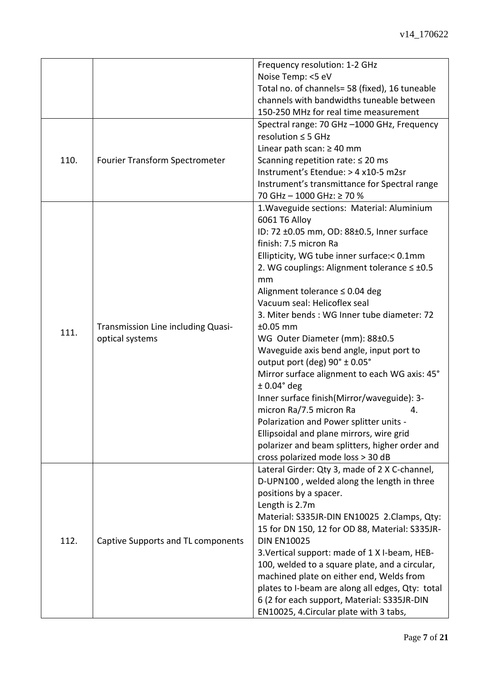| 110. | Fourier Transform Spectrometer                        | Frequency resolution: 1-2 GHz<br>Noise Temp: <5 eV<br>Total no. of channels= 58 (fixed), 16 tuneable<br>channels with bandwidths tuneable between<br>150-250 MHz for real time measurement<br>Spectral range: 70 GHz -1000 GHz, Frequency<br>resolution $\leq$ 5 GHz<br>Linear path scan: $\geq 40$ mm<br>Scanning repetition rate: $\leq 20$ ms<br>Instrument's Etendue: > 4 x10-5 m2sr                                                                                                                                                                                                                                                                                                                                                                                                                                       |
|------|-------------------------------------------------------|--------------------------------------------------------------------------------------------------------------------------------------------------------------------------------------------------------------------------------------------------------------------------------------------------------------------------------------------------------------------------------------------------------------------------------------------------------------------------------------------------------------------------------------------------------------------------------------------------------------------------------------------------------------------------------------------------------------------------------------------------------------------------------------------------------------------------------|
|      |                                                       | Instrument's transmittance for Spectral range<br>70 GHz - 1000 GHz: ≥ 70 %                                                                                                                                                                                                                                                                                                                                                                                                                                                                                                                                                                                                                                                                                                                                                     |
| 111. | Transmission Line including Quasi-<br>optical systems | 1. Waveguide sections: Material: Aluminium<br>6061 T6 Alloy<br>ID: 72 ±0.05 mm, OD: 88±0.5, Inner surface<br>finish: 7.5 micron Ra<br>Ellipticity, WG tube inner surface:< 0.1mm<br>2. WG couplings: Alignment tolerance $\leq \pm 0.5$<br>mm<br>Alignment tolerance $\leq$ 0.04 deg<br>Vacuum seal: Helicoflex seal<br>3. Miter bends: WG Inner tube diameter: 72<br>$±0.05$ mm<br>WG Outer Diameter (mm): 88±0.5<br>Waveguide axis bend angle, input port to<br>output port (deg) 90° ± 0.05°<br>Mirror surface alignment to each WG axis: 45°<br>$± 0.04°$ deg<br>Inner surface finish(Mirror/waveguide): 3-<br>micron Ra/7.5 micron Ra<br>4.<br>Polarization and Power splitter units -<br>Ellipsoidal and plane mirrors, wire grid<br>polarizer and beam splitters, higher order and<br>cross polarized mode loss > 30 dB |
| 112. | Captive Supports and TL components                    | Lateral Girder: Qty 3, made of 2 X C-channel,<br>D-UPN100, welded along the length in three<br>positions by a spacer.<br>Length is 2.7m<br>Material: S335JR-DIN EN10025 2.Clamps, Qty:<br>15 for DN 150, 12 for OD 88, Material: S335JR-<br><b>DIN EN10025</b><br>3. Vertical support: made of 1 X I-beam, HEB-<br>100, welded to a square plate, and a circular,<br>machined plate on either end, Welds from<br>plates to I-beam are along all edges, Qty: total<br>6 (2 for each support, Material: S335JR-DIN<br>EN10025, 4. Circular plate with 3 tabs,                                                                                                                                                                                                                                                                    |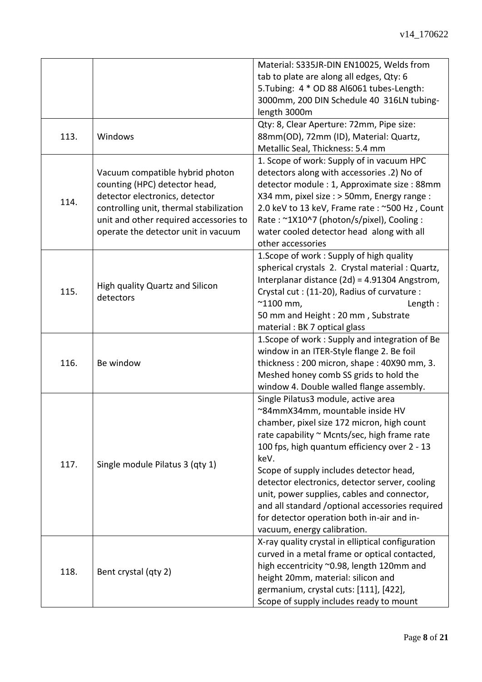|      |                                              | Material: S335JR-DIN EN10025, Welds from          |
|------|----------------------------------------------|---------------------------------------------------|
|      |                                              | tab to plate are along all edges, Qty: 6          |
|      |                                              | 5. Tubing: 4 * OD 88 Al6061 tubes-Length:         |
|      |                                              | 3000mm, 200 DIN Schedule 40 316LN tubing-         |
|      |                                              | length 3000m                                      |
|      |                                              | Qty: 8, Clear Aperture: 72mm, Pipe size:          |
| 113. | Windows                                      | 88mm(OD), 72mm (ID), Material: Quartz,            |
|      |                                              | Metallic Seal, Thickness: 5.4 mm                  |
|      |                                              | 1. Scope of work: Supply of in vacuum HPC         |
|      | Vacuum compatible hybrid photon              | detectors along with accessories .2) No of        |
|      | counting (HPC) detector head,                | detector module : 1, Approximate size : 88mm      |
|      | detector electronics, detector               | X34 mm, pixel size : > 50mm, Energy range :       |
| 114. | controlling unit, thermal stabilization      | 2.0 keV to 13 keV, Frame rate : ~500 Hz, Count    |
|      | unit and other required accessories to       | Rate: ~1X10^7 (photon/s/pixel), Cooling:          |
|      | operate the detector unit in vacuum          | water cooled detector head along with all         |
|      |                                              | other accessories                                 |
|      |                                              | 1. Scope of work: Supply of high quality          |
|      |                                              | spherical crystals 2. Crystal material : Quartz,  |
|      |                                              | Interplanar distance (2d) = 4.91304 Angstrom,     |
|      | High quality Quartz and Silicon<br>detectors |                                                   |
| 115. |                                              | Crystal cut: (11-20), Radius of curvature:        |
|      |                                              | $^{\sim}$ 1100 mm,<br>Length:                     |
|      |                                              | 50 mm and Height: 20 mm, Substrate                |
|      |                                              | material : BK 7 optical glass                     |
|      |                                              | 1. Scope of work: Supply and integration of Be    |
|      |                                              | window in an ITER-Style flange 2. Be foil         |
| 116. | Be window                                    | thickness: 200 micron, shape: 40X90 mm, 3.        |
|      |                                              | Meshed honey comb SS grids to hold the            |
|      |                                              | window 4. Double walled flange assembly.          |
|      | Single module Pilatus 3 (qty 1)              | Single Pilatus3 module, active area               |
|      |                                              | ~84mmX34mm, mountable inside HV                   |
|      |                                              | chamber, pixel size 172 micron, high count        |
|      |                                              | rate capability ~ Mcnts/sec, high frame rate      |
|      |                                              | 100 fps, high quantum efficiency over 2 - 13      |
| 117. |                                              | keV.                                              |
|      |                                              | Scope of supply includes detector head,           |
|      |                                              | detector electronics, detector server, cooling    |
|      |                                              | unit, power supplies, cables and connector,       |
|      |                                              | and all standard /optional accessories required   |
|      |                                              | for detector operation both in-air and in-        |
|      |                                              | vacuum, energy calibration.                       |
|      |                                              | X-ray quality crystal in elliptical configuration |
| 118. |                                              | curved in a metal frame or optical contacted,     |
|      |                                              | high eccentricity ~0.98, length 120mm and         |
|      | Bent crystal (qty 2)                         | height 20mm, material: silicon and                |
|      |                                              | germanium, crystal cuts: [111], [422],            |
|      |                                              | Scope of supply includes ready to mount           |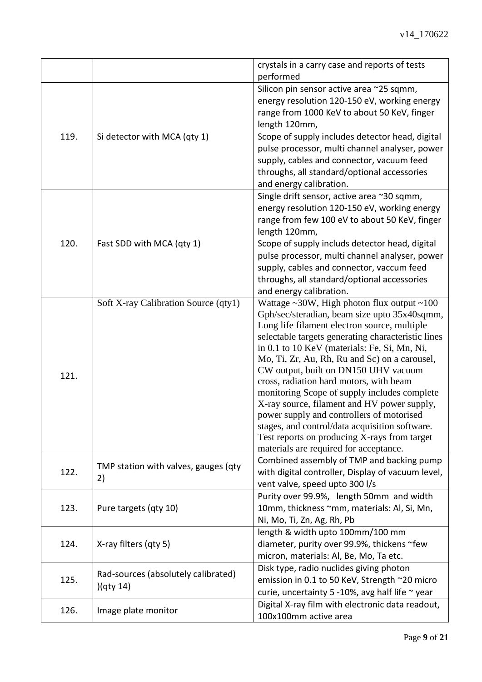|      |                                      | crystals in a carry case and reports of tests          |
|------|--------------------------------------|--------------------------------------------------------|
|      |                                      | performed                                              |
|      |                                      | Silicon pin sensor active area ~25 sqmm,               |
|      |                                      | energy resolution 120-150 eV, working energy           |
|      |                                      | range from 1000 KeV to about 50 KeV, finger            |
|      |                                      | length 120mm,                                          |
| 119. | Si detector with MCA (qty 1)         | Scope of supply includes detector head, digital        |
|      |                                      | pulse processor, multi channel analyser, power         |
|      |                                      | supply, cables and connector, vacuum feed              |
|      |                                      | throughs, all standard/optional accessories            |
|      |                                      | and energy calibration.                                |
|      |                                      | Single drift sensor, active area ~30 sqmm,             |
|      |                                      | energy resolution 120-150 eV, working energy           |
|      |                                      | range from few 100 eV to about 50 KeV, finger          |
|      |                                      | length 120mm,                                          |
| 120. | Fast SDD with MCA (qty 1)            | Scope of supply includs detector head, digital         |
|      |                                      | pulse processor, multi channel analyser, power         |
|      |                                      | supply, cables and connector, vaccum feed              |
|      |                                      | throughs, all standard/optional accessories            |
|      |                                      | and energy calibration.                                |
|      | Soft X-ray Calibration Source (qty1) | Wattage $\sim$ 30W, High photon flux output $\sim$ 100 |
|      |                                      | Gph/sec/steradian, beam size upto 35x40sqmm,           |
|      |                                      | Long life filament electron source, multiple           |
|      |                                      | selectable targets generating characteristic lines     |
|      |                                      | in 0.1 to 10 KeV (materials: Fe, Si, Mn, Ni,           |
|      |                                      | Mo, Ti, Zr, Au, Rh, Ru and Sc) on a carousel,          |
|      |                                      | CW output, built on DN150 UHV vacuum                   |
| 121. |                                      | cross, radiation hard motors, with beam                |
|      |                                      | monitoring Scope of supply includes complete           |
|      |                                      | X-ray source, filament and HV power supply,            |
|      |                                      | power supply and controllers of motorised              |
|      |                                      | stages, and control/data acquisition software.         |
|      |                                      | Test reports on producing X-rays from target           |
|      |                                      | materials are required for acceptance.                 |
|      |                                      | Combined assembly of TMP and backing pump              |
| 122. | TMP station with valves, gauges (qty | with digital controller, Display of vacuum level,      |
|      | 2)                                   | vent valve, speed upto 300 l/s                         |
|      |                                      |                                                        |
|      |                                      | Purity over 99.9%, length 50mm and width               |
| 123. | Pure targets (qty 10)                | 10mm, thickness ~mm, materials: Al, Si, Mn,            |
|      |                                      | Ni, Mo, Ti, Zn, Ag, Rh, Pb                             |
| 124. |                                      | length & width upto 100mm/100 mm                       |
|      | X-ray filters (qty 5)                | diameter, purity over 99.9%, thickens ~few             |
|      |                                      | micron, materials: Al, Be, Mo, Ta etc.                 |
| 125. | Rad-sources (absolutely calibrated)  | Disk type, radio nuclides giving photon                |
|      | )(qty 14)                            | emission in 0.1 to 50 KeV, Strength ~20 micro          |
|      |                                      | curie, uncertainty 5 -10%, avg half life ~ year        |
|      |                                      | Digital X-ray film with electronic data readout,       |
| 126. | Image plate monitor                  | 100x100mm active area                                  |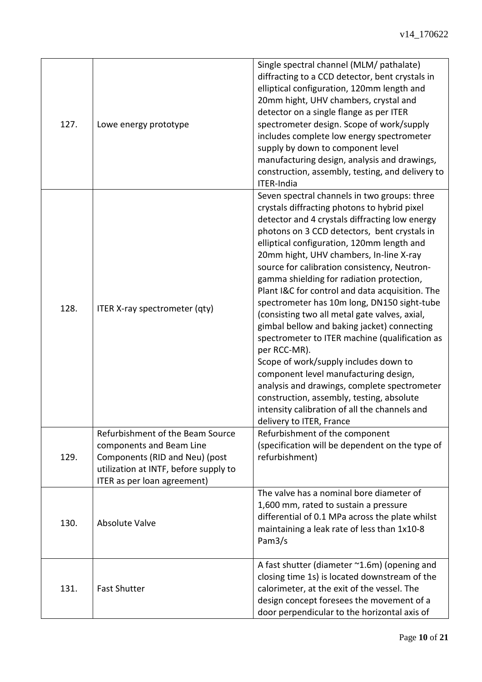| 127. | Lowe energy prototype                                                                                                                                                  | Single spectral channel (MLM/ pathalate)<br>diffracting to a CCD detector, bent crystals in<br>elliptical configuration, 120mm length and<br>20mm hight, UHV chambers, crystal and<br>detector on a single flange as per ITER<br>spectrometer design. Scope of work/supply<br>includes complete low energy spectrometer<br>supply by down to component level<br>manufacturing design, analysis and drawings,<br>construction, assembly, testing, and delivery to<br>ITER-India                                                                                                                                                                                                                                                                                                                                                                                                                                       |
|------|------------------------------------------------------------------------------------------------------------------------------------------------------------------------|----------------------------------------------------------------------------------------------------------------------------------------------------------------------------------------------------------------------------------------------------------------------------------------------------------------------------------------------------------------------------------------------------------------------------------------------------------------------------------------------------------------------------------------------------------------------------------------------------------------------------------------------------------------------------------------------------------------------------------------------------------------------------------------------------------------------------------------------------------------------------------------------------------------------|
| 128. | ITER X-ray spectrometer (qty)                                                                                                                                          | Seven spectral channels in two groups: three<br>crystals diffracting photons to hybrid pixel<br>detector and 4 crystals diffracting low energy<br>photons on 3 CCD detectors, bent crystals in<br>elliptical configuration, 120mm length and<br>20mm hight, UHV chambers, In-line X-ray<br>source for calibration consistency, Neutron-<br>gamma shielding for radiation protection,<br>Plant I&C for control and data acquisition. The<br>spectrometer has 10m long, DN150 sight-tube<br>(consisting two all metal gate valves, axial,<br>gimbal bellow and baking jacket) connecting<br>spectrometer to ITER machine (qualification as<br>per RCC-MR).<br>Scope of work/supply includes down to<br>component level manufacturing design,<br>analysis and drawings, complete spectrometer<br>construction, assembly, testing, absolute<br>intensity calibration of all the channels and<br>delivery to ITER, France |
| 129. | Refurbishment of the Beam Source<br>components and Beam Line<br>Components (RID and Neu) (post<br>utilization at INTF, before supply to<br>ITER as per loan agreement) | Refurbishment of the component<br>(specification will be dependent on the type of<br>refurbishment)                                                                                                                                                                                                                                                                                                                                                                                                                                                                                                                                                                                                                                                                                                                                                                                                                  |
| 130. | <b>Absolute Valve</b>                                                                                                                                                  | The valve has a nominal bore diameter of<br>1,600 mm, rated to sustain a pressure<br>differential of 0.1 MPa across the plate whilst<br>maintaining a leak rate of less than 1x10-8<br>Pam3/s                                                                                                                                                                                                                                                                                                                                                                                                                                                                                                                                                                                                                                                                                                                        |
| 131. | <b>Fast Shutter</b>                                                                                                                                                    | A fast shutter (diameter ~1.6m) (opening and<br>closing time 1s) is located downstream of the<br>calorimeter, at the exit of the vessel. The<br>design concept foresees the movement of a<br>door perpendicular to the horizontal axis of                                                                                                                                                                                                                                                                                                                                                                                                                                                                                                                                                                                                                                                                            |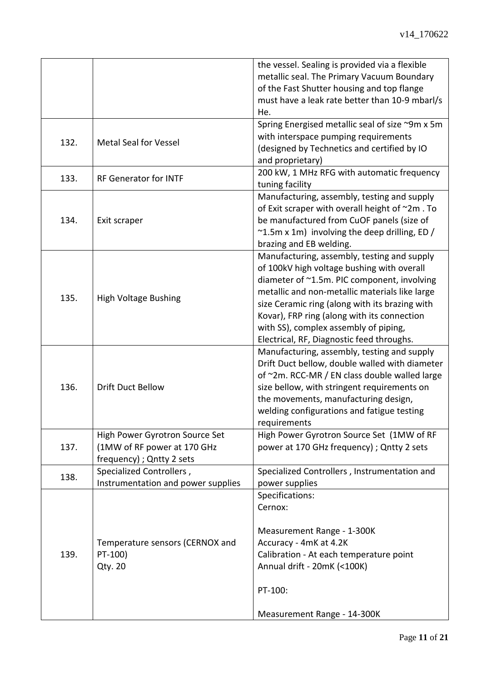|      |                                    | the vessel. Sealing is provided via a flexible<br>metallic seal. The Primary Vacuum Boundary |
|------|------------------------------------|----------------------------------------------------------------------------------------------|
|      |                                    | of the Fast Shutter housing and top flange                                                   |
|      |                                    | must have a leak rate better than 10-9 mbarl/s                                               |
|      |                                    | He.                                                                                          |
|      |                                    | Spring Energised metallic seal of size ~9m x 5m                                              |
|      | <b>Metal Seal for Vessel</b>       | with interspace pumping requirements                                                         |
| 132. |                                    | (designed by Technetics and certified by IO                                                  |
|      |                                    | and proprietary)                                                                             |
| 133. | <b>RF Generator for INTF</b>       | 200 kW, 1 MHz RFG with automatic frequency                                                   |
|      |                                    | tuning facility                                                                              |
|      |                                    | Manufacturing, assembly, testing and supply                                                  |
|      |                                    | of Exit scraper with overall height of ~2m. To                                               |
| 134. | Exit scraper                       | be manufactured from CuOF panels (size of                                                    |
|      |                                    | $\sim$ 1.5m x 1m) involving the deep drilling, ED /                                          |
|      |                                    | brazing and EB welding.                                                                      |
|      |                                    | Manufacturing, assembly, testing and supply                                                  |
|      |                                    | of 100kV high voltage bushing with overall                                                   |
|      |                                    | diameter of ~1.5m. PIC component, involving                                                  |
| 135. | <b>High Voltage Bushing</b>        | metallic and non-metallic materials like large                                               |
|      |                                    | size Ceramic ring (along with its brazing with                                               |
|      |                                    | Kovar), FRP ring (along with its connection                                                  |
|      |                                    | with SS), complex assembly of piping,                                                        |
|      |                                    | Electrical, RF, Diagnostic feed throughs.                                                    |
|      |                                    | Manufacturing, assembly, testing and supply                                                  |
|      |                                    | Drift Duct bellow, double walled with diameter                                               |
|      |                                    | of ~2m. RCC-MR / EN class double walled large                                                |
| 136. | <b>Drift Duct Bellow</b>           | size bellow, with stringent requirements on                                                  |
|      |                                    | the movements, manufacturing design,                                                         |
|      |                                    | welding configurations and fatigue testing                                                   |
|      | High Power Gyrotron Source Set     | requirements<br>High Power Gyrotron Source Set (1MW of RF                                    |
| 137. | (1MW of RF power at 170 GHz        | power at 170 GHz frequency) ; Qntty 2 sets                                                   |
|      | frequency) ; Qntty 2 sets          |                                                                                              |
|      | Specialized Controllers,           | Specialized Controllers, Instrumentation and                                                 |
| 138. | Instrumentation and power supplies | power supplies                                                                               |
|      |                                    | Specifications:                                                                              |
|      |                                    | Cernox:                                                                                      |
|      |                                    |                                                                                              |
|      |                                    | Measurement Range - 1-300K                                                                   |
|      | Temperature sensors (CERNOX and    | Accuracy - 4mK at 4.2K                                                                       |
| 139. | PT-100)                            | Calibration - At each temperature point                                                      |
|      | <b>Qty. 20</b>                     | Annual drift - 20mK (<100K)                                                                  |
|      |                                    |                                                                                              |
|      |                                    | PT-100:                                                                                      |
|      |                                    |                                                                                              |
|      |                                    | Measurement Range - 14-300K                                                                  |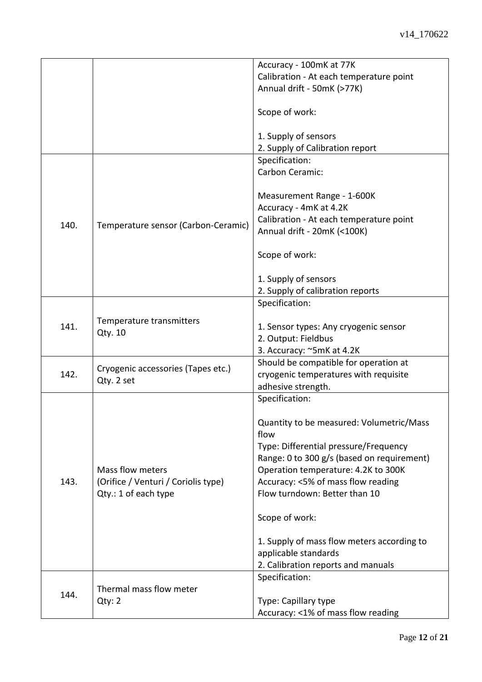|      |                                                                                 | Accuracy - 100mK at 77K                    |
|------|---------------------------------------------------------------------------------|--------------------------------------------|
|      |                                                                                 | Calibration - At each temperature point    |
|      |                                                                                 | Annual drift - 50mK (>77K)                 |
|      |                                                                                 |                                            |
|      |                                                                                 | Scope of work:                             |
|      |                                                                                 |                                            |
|      |                                                                                 | 1. Supply of sensors                       |
|      |                                                                                 | 2. Supply of Calibration report            |
|      |                                                                                 | Specification:                             |
|      |                                                                                 | Carbon Ceramic:                            |
|      |                                                                                 |                                            |
|      |                                                                                 | Measurement Range - 1-600K                 |
|      |                                                                                 |                                            |
|      |                                                                                 | Accuracy - 4mK at 4.2K                     |
| 140. | Temperature sensor (Carbon-Ceramic)                                             | Calibration - At each temperature point    |
|      |                                                                                 | Annual drift - 20mK (<100K)                |
|      |                                                                                 |                                            |
|      |                                                                                 | Scope of work:                             |
|      |                                                                                 |                                            |
|      |                                                                                 | 1. Supply of sensors                       |
|      |                                                                                 | 2. Supply of calibration reports           |
|      |                                                                                 | Specification:                             |
|      |                                                                                 |                                            |
| 141. | Temperature transmitters                                                        | 1. Sensor types: Any cryogenic sensor      |
|      | Qty. 10                                                                         | 2. Output: Fieldbus                        |
|      |                                                                                 | 3. Accuracy: ~5mK at 4.2K                  |
|      |                                                                                 | Should be compatible for operation at      |
| 142. | Cryogenic accessories (Tapes etc.)                                              | cryogenic temperatures with requisite      |
|      | Qty. 2 set                                                                      | adhesive strength.                         |
|      |                                                                                 | Specification:                             |
|      |                                                                                 |                                            |
|      |                                                                                 | Quantity to be measured: Volumetric/Mass   |
|      |                                                                                 | flow                                       |
|      |                                                                                 |                                            |
|      |                                                                                 | Type: Differential pressure/Frequency      |
|      | Mass flow meters<br>(Orifice / Venturi / Coriolis type)<br>Qty.: 1 of each type | Range: 0 to 300 g/s (based on requirement) |
|      |                                                                                 | Operation temperature: 4.2K to 300K        |
| 143. |                                                                                 | Accuracy: <5% of mass flow reading         |
|      |                                                                                 | Flow turndown: Better than 10              |
|      |                                                                                 |                                            |
|      |                                                                                 | Scope of work:                             |
|      |                                                                                 |                                            |
|      |                                                                                 | 1. Supply of mass flow meters according to |
|      |                                                                                 | applicable standards                       |
|      |                                                                                 | 2. Calibration reports and manuals         |
|      |                                                                                 | Specification:                             |
|      | Thermal mass flow meter                                                         |                                            |
| 144. | Qty: 2                                                                          | Type: Capillary type                       |
|      |                                                                                 | Accuracy: <1% of mass flow reading         |
|      |                                                                                 |                                            |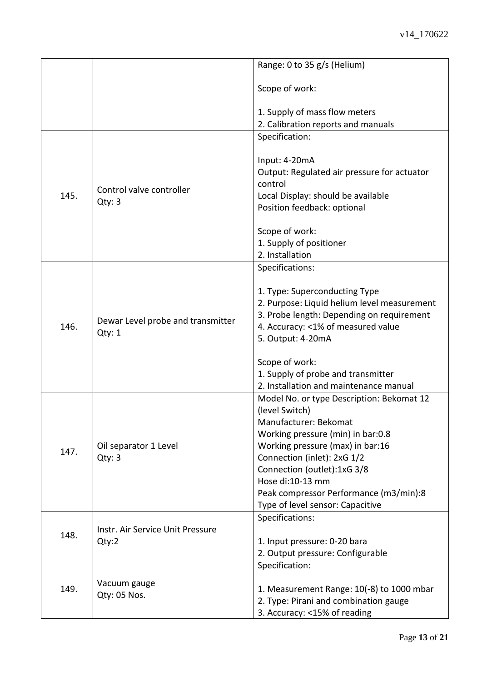|      |                                             | Range: 0 to 35 g/s (Helium)                                                                                                                                                                                                                                                                                                   |
|------|---------------------------------------------|-------------------------------------------------------------------------------------------------------------------------------------------------------------------------------------------------------------------------------------------------------------------------------------------------------------------------------|
|      |                                             | Scope of work:                                                                                                                                                                                                                                                                                                                |
|      |                                             | 1. Supply of mass flow meters                                                                                                                                                                                                                                                                                                 |
|      |                                             | 2. Calibration reports and manuals                                                                                                                                                                                                                                                                                            |
|      |                                             | Specification:                                                                                                                                                                                                                                                                                                                |
| 145. | Control valve controller<br>Qty: 3          | Input: 4-20mA<br>Output: Regulated air pressure for actuator<br>control<br>Local Display: should be available<br>Position feedback: optional                                                                                                                                                                                  |
|      |                                             | Scope of work:                                                                                                                                                                                                                                                                                                                |
|      |                                             | 1. Supply of positioner                                                                                                                                                                                                                                                                                                       |
|      |                                             | 2. Installation                                                                                                                                                                                                                                                                                                               |
|      |                                             | Specifications:                                                                                                                                                                                                                                                                                                               |
| 146. | Dewar Level probe and transmitter<br>Qty: 1 | 1. Type: Superconducting Type<br>2. Purpose: Liquid helium level measurement<br>3. Probe length: Depending on requirement<br>4. Accuracy: <1% of measured value<br>5. Output: 4-20mA                                                                                                                                          |
|      |                                             | Scope of work:                                                                                                                                                                                                                                                                                                                |
|      |                                             | 1. Supply of probe and transmitter                                                                                                                                                                                                                                                                                            |
|      |                                             | 2. Installation and maintenance manual                                                                                                                                                                                                                                                                                        |
| 147. | Oil separator 1 Level<br>Qty: 3             | Model No. or type Description: Bekomat 12<br>(level Switch)<br>Manufacturer: Bekomat<br>Working pressure (min) in bar:0.8<br>Working pressure (max) in bar:16<br>Connection (inlet): 2xG 1/2<br>Connection (outlet):1xG 3/8<br>Hose di:10-13 mm<br>Peak compressor Performance (m3/min):8<br>Type of level sensor: Capacitive |
|      |                                             | Specifications:                                                                                                                                                                                                                                                                                                               |
| 148. | Instr. Air Service Unit Pressure<br>Qty:2   | 1. Input pressure: 0-20 bara<br>2. Output pressure: Configurable                                                                                                                                                                                                                                                              |
|      |                                             | Specification:                                                                                                                                                                                                                                                                                                                |
| 149. | Vacuum gauge<br>Qty: 05 Nos.                | 1. Measurement Range: 10(-8) to 1000 mbar<br>2. Type: Pirani and combination gauge<br>3. Accuracy: <15% of reading                                                                                                                                                                                                            |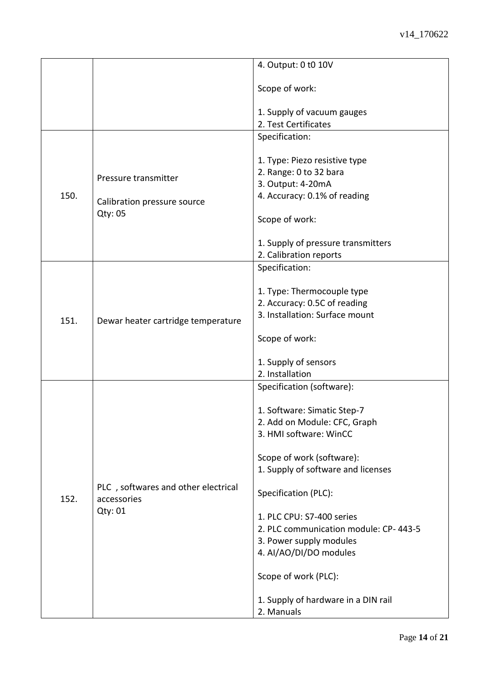|      |                                                               | 4. Output: 0 t0 10V                     |
|------|---------------------------------------------------------------|-----------------------------------------|
|      |                                                               | Scope of work:                          |
|      |                                                               | 1. Supply of vacuum gauges              |
|      |                                                               | 2. Test Certificates                    |
|      |                                                               | Specification:                          |
|      |                                                               |                                         |
|      |                                                               | 1. Type: Piezo resistive type           |
|      | Pressure transmitter<br>Calibration pressure source           | 2. Range: 0 to 32 bara                  |
|      |                                                               | 3. Output: 4-20mA                       |
| 150. |                                                               | 4. Accuracy: 0.1% of reading            |
|      | Qty: 05                                                       |                                         |
|      |                                                               | Scope of work:                          |
|      |                                                               |                                         |
|      |                                                               | 1. Supply of pressure transmitters      |
|      |                                                               | 2. Calibration reports                  |
|      |                                                               | Specification:                          |
|      |                                                               | 1. Type: Thermocouple type              |
|      |                                                               | 2. Accuracy: 0.5C of reading            |
|      | Dewar heater cartridge temperature                            | 3. Installation: Surface mount          |
| 151. |                                                               |                                         |
|      |                                                               | Scope of work:                          |
|      |                                                               |                                         |
|      |                                                               | 1. Supply of sensors<br>2. Installation |
|      |                                                               | Specification (software):               |
|      |                                                               |                                         |
|      |                                                               | 1. Software: Simatic Step-7             |
|      |                                                               | 2. Add on Module: CFC, Graph            |
|      | PLC, softwares and other electrical<br>accessories<br>Qty: 01 | 3. HMI software: WinCC                  |
|      |                                                               |                                         |
|      |                                                               | Scope of work (software):               |
|      |                                                               | 1. Supply of software and licenses      |
|      |                                                               |                                         |
| 152. |                                                               | Specification (PLC):                    |
|      |                                                               |                                         |
|      |                                                               | 1. PLC CPU: S7-400 series               |
|      |                                                               | 2. PLC communication module: CP-443-5   |
|      |                                                               | 3. Power supply modules                 |
|      |                                                               | 4. AI/AO/DI/DO modules                  |
|      |                                                               |                                         |
|      |                                                               | Scope of work (PLC):                    |
|      |                                                               |                                         |
|      |                                                               | 1. Supply of hardware in a DIN rail     |
|      |                                                               | 2. Manuals                              |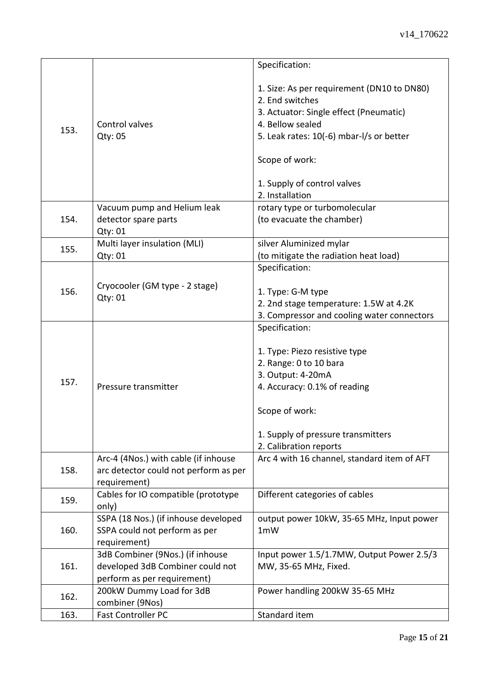|      |                                                                                                     | Specification:                                                                                                                                                                                                                              |
|------|-----------------------------------------------------------------------------------------------------|---------------------------------------------------------------------------------------------------------------------------------------------------------------------------------------------------------------------------------------------|
| 153. | Control valves<br>Qty: 05                                                                           | 1. Size: As per requirement (DN10 to DN80)<br>2. End switches<br>3. Actuator: Single effect (Pneumatic)<br>4. Bellow sealed<br>5. Leak rates: 10(-6) mbar-I/s or better<br>Scope of work:<br>1. Supply of control valves<br>2. Installation |
|      | Vacuum pump and Helium leak                                                                         | rotary type or turbomolecular                                                                                                                                                                                                               |
| 154. | detector spare parts<br>Qty: 01                                                                     | (to evacuate the chamber)                                                                                                                                                                                                                   |
| 155. | Multi layer insulation (MLI)                                                                        | silver Aluminized mylar                                                                                                                                                                                                                     |
|      | Qty: 01                                                                                             | (to mitigate the radiation heat load)                                                                                                                                                                                                       |
|      |                                                                                                     | Specification:                                                                                                                                                                                                                              |
| 156. | Cryocooler (GM type - 2 stage)<br>Qty: 01                                                           | 1. Type: G-M type<br>2. 2nd stage temperature: 1.5W at 4.2K<br>3. Compressor and cooling water connectors                                                                                                                                   |
| 157. | Pressure transmitter                                                                                | Specification:<br>1. Type: Piezo resistive type<br>2. Range: 0 to 10 bara<br>3. Output: 4-20mA<br>4. Accuracy: 0.1% of reading<br>Scope of work:<br>1. Supply of pressure transmitters<br>2. Calibration reports                            |
| 158. | Arc-4 (4Nos.) with cable (if inhouse<br>arc detector could not perform as per<br>requirement)       | Arc 4 with 16 channel, standard item of AFT                                                                                                                                                                                                 |
| 159. | Cables for IO compatible (prototype<br>only)                                                        | Different categories of cables                                                                                                                                                                                                              |
| 160. | SSPA (18 Nos.) (if inhouse developed<br>SSPA could not perform as per<br>requirement)               | output power 10kW, 35-65 MHz, Input power<br>1mW                                                                                                                                                                                            |
| 161. | 3dB Combiner (9Nos.) (if inhouse<br>developed 3dB Combiner could not<br>perform as per requirement) | Input power 1.5/1.7MW, Output Power 2.5/3<br>MW, 35-65 MHz, Fixed.                                                                                                                                                                          |
| 162. | 200kW Dummy Load for 3dB<br>combiner (9Nos)                                                         | Power handling 200kW 35-65 MHz                                                                                                                                                                                                              |
| 163. | Fast Controller PC                                                                                  | Standard item                                                                                                                                                                                                                               |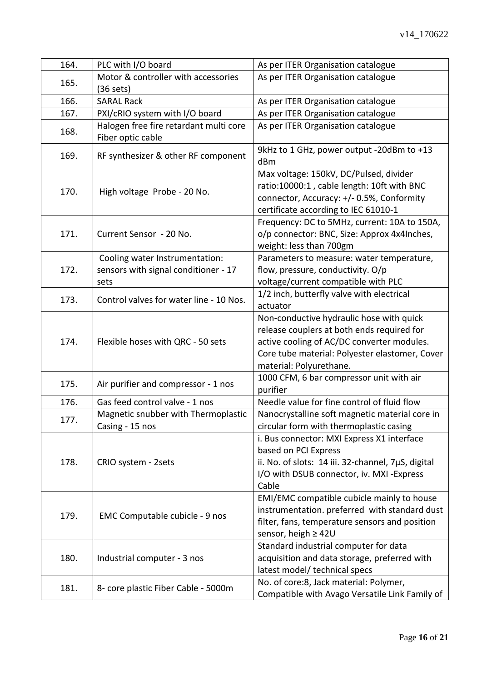| 164. | PLC with I/O board                      | As per ITER Organisation catalogue                 |  |
|------|-----------------------------------------|----------------------------------------------------|--|
|      | Motor & controller with accessories     | As per ITER Organisation catalogue                 |  |
| 165. | $(36$ sets)                             |                                                    |  |
| 166. | <b>SARAL Rack</b>                       | As per ITER Organisation catalogue                 |  |
| 167. | PXI/cRIO system with I/O board          | As per ITER Organisation catalogue                 |  |
| 168. | Halogen free fire retardant multi core  | As per ITER Organisation catalogue                 |  |
|      | Fiber optic cable                       |                                                    |  |
|      |                                         | 9kHz to 1 GHz, power output -20dBm to +13          |  |
| 169. | RF synthesizer & other RF component     | dBm                                                |  |
|      |                                         | Max voltage: 150kV, DC/Pulsed, divider             |  |
|      |                                         | ratio:10000:1, cable length: 10ft with BNC         |  |
| 170. | High voltage Probe - 20 No.             | connector, Accuracy: +/- 0.5%, Conformity          |  |
|      |                                         | certificate according to IEC 61010-1               |  |
|      |                                         | Frequency: DC to 5MHz, current: 10A to 150A,       |  |
| 171. | Current Sensor - 20 No.                 | o/p connector: BNC, Size: Approx 4x4Inches,        |  |
|      |                                         | weight: less than 700gm                            |  |
|      | Cooling water Instrumentation:          | Parameters to measure: water temperature,          |  |
| 172. | sensors with signal conditioner - 17    | flow, pressure, conductivity. O/p                  |  |
|      | sets                                    | voltage/current compatible with PLC                |  |
|      | Control valves for water line - 10 Nos. | 1/2 inch, butterfly valve with electrical          |  |
| 173. |                                         | actuator                                           |  |
|      |                                         | Non-conductive hydraulic hose with quick           |  |
|      |                                         | release couplers at both ends required for         |  |
| 174. | Flexible hoses with QRC - 50 sets       | active cooling of AC/DC converter modules.         |  |
|      |                                         | Core tube material: Polyester elastomer, Cover     |  |
|      |                                         | material: Polyurethane.                            |  |
|      | Air purifier and compressor - 1 nos     | 1000 CFM, 6 bar compressor unit with air           |  |
| 175. |                                         | purifier                                           |  |
| 176. | Gas feed control valve - 1 nos          | Needle value for fine control of fluid flow        |  |
| 177. | Magnetic snubber with Thermoplastic     | Nanocrystalline soft magnetic material core in     |  |
|      | Casing - 15 nos                         | circular form with thermoplastic casing            |  |
|      | CRIO system - 2sets                     | i. Bus connector: MXI Express X1 interface         |  |
|      |                                         | based on PCI Express                               |  |
| 178. |                                         | ii. No. of slots: 14 iii. 32-channel, 7µS, digital |  |
|      |                                         | I/O with DSUB connector, iv. MXI -Express          |  |
|      |                                         | Cable                                              |  |
|      | EMC Computable cubicle - 9 nos          | EMI/EMC compatible cubicle mainly to house         |  |
| 179. |                                         | instrumentation. preferred with standard dust      |  |
|      |                                         | filter, fans, temperature sensors and position     |  |
|      |                                         | sensor, heigh $\geq 42$ U                          |  |
|      |                                         | Standard industrial computer for data              |  |
| 180. | Industrial computer - 3 nos             | acquisition and data storage, preferred with       |  |
|      |                                         | latest model/ technical specs                      |  |
|      |                                         | No. of core:8, Jack material: Polymer,             |  |
| 181. | 8- core plastic Fiber Cable - 5000m     | Compatible with Avago Versatile Link Family of     |  |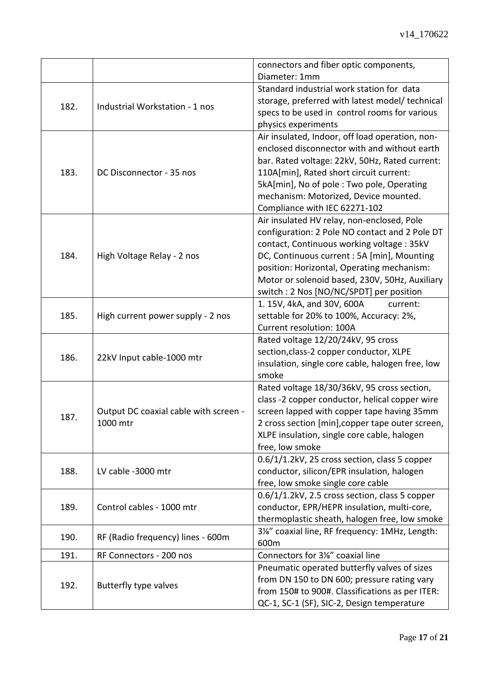|      |                                       | connectors and fiber optic components,                                                        |
|------|---------------------------------------|-----------------------------------------------------------------------------------------------|
|      |                                       | Diameter: 1mm                                                                                 |
|      |                                       | Standard industrial work station for data                                                     |
|      |                                       | storage, preferred with latest model/ technical                                               |
| 182. | Industrial Workstation - 1 nos        | specs to be used in control rooms for various                                                 |
|      |                                       | physics experiments                                                                           |
|      |                                       | Air insulated, Indoor, off load operation, non-                                               |
|      |                                       | enclosed disconnector with and without earth                                                  |
|      | DC Disconnector - 35 nos              | bar. Rated voltage: 22kV, 50Hz, Rated current:                                                |
| 183. |                                       | 110A[min], Rated short circuit current:                                                       |
|      |                                       | 5kA[min], No of pole: Two pole, Operating                                                     |
|      |                                       | mechanism: Motorized, Device mounted.                                                         |
|      |                                       | Compliance with IEC 62271-102                                                                 |
|      |                                       | Air insulated HV relay, non-enclosed, Pole                                                    |
|      |                                       | configuration: 2 Pole NO contact and 2 Pole DT                                                |
|      |                                       | contact, Continuous working voltage: 35kV                                                     |
| 184. | High Voltage Relay - 2 nos            | DC, Continuous current : 5A [min], Mounting                                                   |
|      |                                       | position: Horizontal, Operating mechanism:                                                    |
|      |                                       | Motor or solenoid based, 230V, 50Hz, Auxiliary                                                |
|      |                                       | switch: 2 Nos [NO/NC/SPDT] per position                                                       |
|      |                                       | 1. 15V, 4kA, and 30V, 600A<br>current:                                                        |
| 185. | High current power supply - 2 nos     | settable for 20% to 100%, Accuracy: 2%,                                                       |
|      |                                       | Current resolution: 100A                                                                      |
|      |                                       | Rated voltage 12/20/24kV, 95 cross                                                            |
|      |                                       |                                                                                               |
|      |                                       | section, class-2 copper conductor, XLPE                                                       |
| 186. | 22kV Input cable-1000 mtr             | insulation, single core cable, halogen free, low                                              |
|      |                                       | smoke                                                                                         |
|      |                                       | Rated voltage 18/30/36kV, 95 cross section,                                                   |
|      |                                       | class -2 copper conductor, helical copper wire                                                |
|      | Output DC coaxial cable with screen - | screen lapped with copper tape having 35mm                                                    |
| 187. | 1000 mtr                              | 2 cross section [min], copper tape outer screen,                                              |
|      |                                       | XLPE insulation, single core cable, halogen                                                   |
|      |                                       | free, low smoke                                                                               |
|      |                                       | 0.6/1/1.2kV, 25 cross section, class 5 copper                                                 |
| 188. | LV cable -3000 mtr                    | conductor, silicon/EPR insulation, halogen                                                    |
|      |                                       | free, low smoke single core cable                                                             |
|      |                                       | 0.6/1/1.2kV, 2.5 cross section, class 5 copper                                                |
| 189. | Control cables - 1000 mtr             | conductor, EPR/HEPR insulation, multi-core,                                                   |
|      |                                       | thermoplastic sheath, halogen free, low smoke                                                 |
|      |                                       | 31/s" coaxial line, RF frequency: 1MHz, Length:                                               |
| 190. | RF (Radio frequency) lines - 600m     | 600m                                                                                          |
| 191. | RF Connectors - 200 nos               | Connectors for 3%" coaxial line                                                               |
|      |                                       | Pneumatic operated butterfly valves of sizes                                                  |
|      |                                       | from DN 150 to DN 600; pressure rating vary                                                   |
| 192. | Butterfly type valves                 | from 150# to 900#. Classifications as per ITER:<br>QC-1, SC-1 (SF), SIC-2, Design temperature |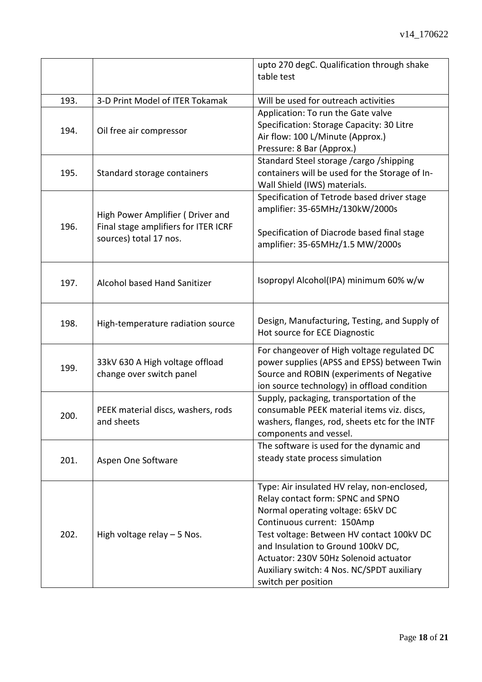|      |                                                                                                    | upto 270 degC. Qualification through shake<br>table test                                                                                                                                                                                                                                                                                             |
|------|----------------------------------------------------------------------------------------------------|------------------------------------------------------------------------------------------------------------------------------------------------------------------------------------------------------------------------------------------------------------------------------------------------------------------------------------------------------|
| 193. | 3-D Print Model of ITER Tokamak                                                                    | Will be used for outreach activities                                                                                                                                                                                                                                                                                                                 |
| 194. | Oil free air compressor                                                                            | Application: To run the Gate valve<br>Specification: Storage Capacity: 30 Litre<br>Air flow: 100 L/Minute (Approx.)<br>Pressure: 8 Bar (Approx.)                                                                                                                                                                                                     |
| 195. | Standard storage containers                                                                        | Standard Steel storage /cargo /shipping<br>containers will be used for the Storage of In-<br>Wall Shield (IWS) materials.                                                                                                                                                                                                                            |
| 196. | High Power Amplifier (Driver and<br>Final stage amplifiers for ITER ICRF<br>sources) total 17 nos. | Specification of Tetrode based driver stage<br>amplifier: 35-65MHz/130kW/2000s<br>Specification of Diacrode based final stage<br>amplifier: 35-65MHz/1.5 MW/2000s                                                                                                                                                                                    |
| 197. | Alcohol based Hand Sanitizer                                                                       | Isopropyl Alcohol(IPA) minimum 60% w/w                                                                                                                                                                                                                                                                                                               |
| 198. | High-temperature radiation source                                                                  | Design, Manufacturing, Testing, and Supply of<br>Hot source for ECE Diagnostic                                                                                                                                                                                                                                                                       |
| 199. | 33kV 630 A High voltage offload<br>change over switch panel                                        | For changeover of High voltage regulated DC<br>power supplies (APSS and EPSS) between Twin<br>Source and ROBIN (experiments of Negative<br>ion source technology) in offload condition                                                                                                                                                               |
| 200. | PEEK material discs, washers, rods<br>and sheets                                                   | Supply, packaging, transportation of the<br>consumable PEEK material items viz. discs,<br>washers, flanges, rod, sheets etc for the INTF<br>components and vessel.                                                                                                                                                                                   |
| 201. | Aspen One Software                                                                                 | The software is used for the dynamic and<br>steady state process simulation                                                                                                                                                                                                                                                                          |
| 202. | High voltage relay $-5$ Nos.                                                                       | Type: Air insulated HV relay, non-enclosed,<br>Relay contact form: SPNC and SPNO<br>Normal operating voltage: 65kV DC<br>Continuous current: 150Amp<br>Test voltage: Between HV contact 100kV DC<br>and Insulation to Ground 100kV DC,<br>Actuator: 230V 50Hz Solenoid actuator<br>Auxiliary switch: 4 Nos. NC/SPDT auxiliary<br>switch per position |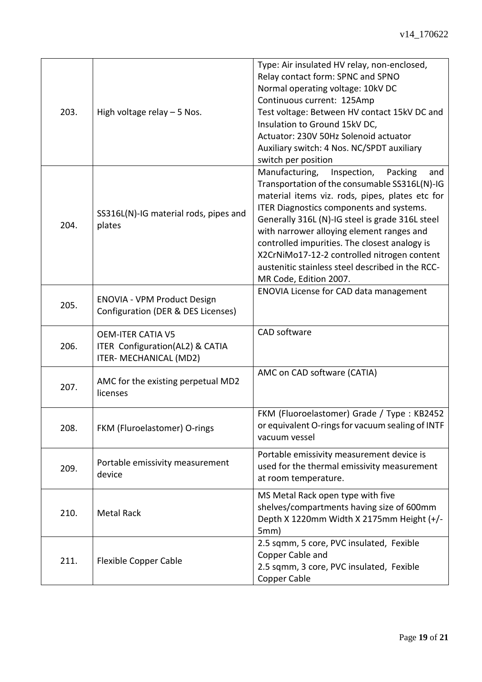| 203. | High voltage relay $-5$ Nos.                                                                 | Type: Air insulated HV relay, non-enclosed,<br>Relay contact form: SPNC and SPNO<br>Normal operating voltage: 10kV DC<br>Continuous current: 125Amp<br>Test voltage: Between HV contact 15kV DC and<br>Insulation to Ground 15kV DC,<br>Actuator: 230V 50Hz Solenoid actuator<br>Auxiliary switch: 4 Nos. NC/SPDT auxiliary<br>switch per position                                                                                                                            |
|------|----------------------------------------------------------------------------------------------|-------------------------------------------------------------------------------------------------------------------------------------------------------------------------------------------------------------------------------------------------------------------------------------------------------------------------------------------------------------------------------------------------------------------------------------------------------------------------------|
| 204. | SS316L(N)-IG material rods, pipes and<br>plates                                              | Manufacturing,<br>Inspection,<br>Packing<br>and<br>Transportation of the consumable SS316L(N)-IG<br>material items viz. rods, pipes, plates etc for<br>ITER Diagnostics components and systems.<br>Generally 316L (N)-IG steel is grade 316L steel<br>with narrower alloying element ranges and<br>controlled impurities. The closest analogy is<br>X2CrNiMo17-12-2 controlled nitrogen content<br>austenitic stainless steel described in the RCC-<br>MR Code, Edition 2007. |
| 205. | <b>ENOVIA - VPM Product Design</b><br>Configuration (DER & DES Licenses)                     | <b>ENOVIA License for CAD data management</b>                                                                                                                                                                                                                                                                                                                                                                                                                                 |
| 206. | <b>OEM-ITER CATIA V5</b><br>ITER Configuration(AL2) & CATIA<br><b>ITER- MECHANICAL (MD2)</b> | CAD software                                                                                                                                                                                                                                                                                                                                                                                                                                                                  |
| 207. | AMC for the existing perpetual MD2<br>licenses                                               | AMC on CAD software (CATIA)                                                                                                                                                                                                                                                                                                                                                                                                                                                   |
| 208. | FKM (Fluroelastomer) O-rings                                                                 | FKM (Fluoroelastomer) Grade / Type : KB2452<br>or equivalent O-rings for vacuum sealing of INTF<br>vacuum vessel                                                                                                                                                                                                                                                                                                                                                              |
| 209. | Portable emissivity measurement<br>device                                                    | Portable emissivity measurement device is<br>used for the thermal emissivity measurement<br>at room temperature.                                                                                                                                                                                                                                                                                                                                                              |
| 210. | <b>Metal Rack</b>                                                                            | MS Metal Rack open type with five<br>shelves/compartments having size of 600mm<br>Depth X 1220mm Width X 2175mm Height (+/-<br>5mm)                                                                                                                                                                                                                                                                                                                                           |
| 211. | <b>Flexible Copper Cable</b>                                                                 | 2.5 sqmm, 5 core, PVC insulated, Fexible<br>Copper Cable and<br>2.5 sqmm, 3 core, PVC insulated, Fexible<br>Copper Cable                                                                                                                                                                                                                                                                                                                                                      |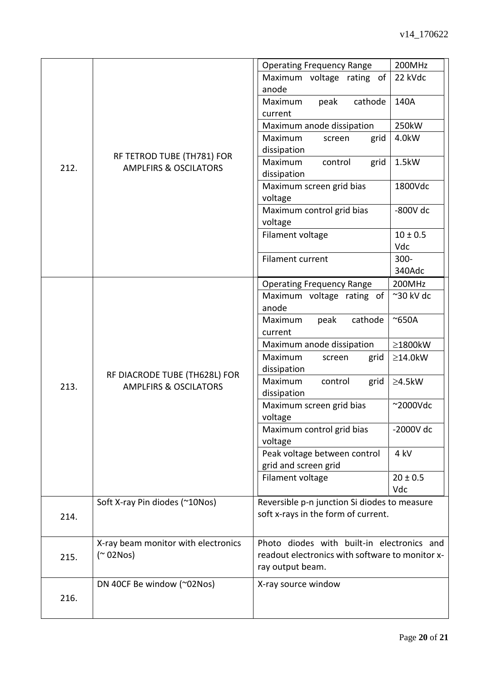|      |                                                                   | <b>Operating Frequency Range</b>                | 200MHz              |
|------|-------------------------------------------------------------------|-------------------------------------------------|---------------------|
|      |                                                                   | Maximum voltage rating of                       | 22 kVdc             |
|      |                                                                   | anode                                           |                     |
|      |                                                                   | cathode<br>Maximum<br>peak                      | 140A                |
| 212. |                                                                   | current                                         |                     |
|      |                                                                   | Maximum anode dissipation                       | 250kW               |
|      |                                                                   | Maximum<br>grid<br>screen                       | 4.0kW               |
|      | RF TETROD TUBE (TH781) FOR<br><b>AMPLFIRS &amp; OSCILATORS</b>    | dissipation                                     |                     |
|      |                                                                   | Maximum<br>control<br>grid                      | 1.5kW               |
|      |                                                                   | dissipation                                     |                     |
|      |                                                                   | Maximum screen grid bias                        | 1800Vdc             |
|      |                                                                   | voltage                                         |                     |
|      |                                                                   | Maximum control grid bias                       | $-800V$ dc          |
|      |                                                                   | voltage                                         |                     |
|      |                                                                   | Filament voltage                                | $10 \pm 0.5$<br>Vdc |
|      |                                                                   | Filament current                                | $300 -$             |
|      |                                                                   |                                                 | 340Adc              |
|      |                                                                   | <b>Operating Frequency Range</b>                | 200MHz              |
|      |                                                                   | Maximum voltage rating of                       | $\sim$ 30 kV dc     |
|      | RF DIACRODE TUBE (TH628L) FOR<br><b>AMPLFIRS &amp; OSCILATORS</b> | anode                                           |                     |
|      |                                                                   | cathode<br>Maximum<br>peak                      | $~\sim$ 650A        |
|      |                                                                   | current                                         |                     |
|      |                                                                   | Maximum anode dissipation                       | ≥1800kW             |
|      |                                                                   | Maximum<br>grid<br>screen                       | $\geq$ 14.0kW       |
|      |                                                                   | dissipation                                     |                     |
| 213. |                                                                   | Maximum<br>control<br>grid                      | $\geq$ 4.5kW        |
|      |                                                                   | dissipation                                     |                     |
|      |                                                                   | Maximum screen grid bias<br>voltage             | $~\sim$ 2000Vdc     |
|      |                                                                   | Maximum control grid bias                       | -2000V dc           |
|      |                                                                   | voltage                                         |                     |
|      |                                                                   | Peak voltage between control                    | 4 kV                |
|      |                                                                   | grid and screen grid                            |                     |
|      |                                                                   | Filament voltage                                | $20 \pm 0.5$        |
|      |                                                                   |                                                 | Vdc                 |
|      | Soft X-ray Pin diodes (~10Nos)                                    | Reversible p-n junction Si diodes to measure    |                     |
| 214. |                                                                   | soft x-rays in the form of current.             |                     |
|      |                                                                   |                                                 |                     |
|      | X-ray beam monitor with electronics                               | Photo diodes with built-in electronics and      |                     |
| 215. | $($ $\sim$ 02Nos)                                                 | readout electronics with software to monitor x- |                     |
|      |                                                                   | ray output beam.                                |                     |
| 216. | DN 40CF Be window (~02Nos)                                        | X-ray source window                             |                     |
|      |                                                                   |                                                 |                     |
|      |                                                                   |                                                 |                     |